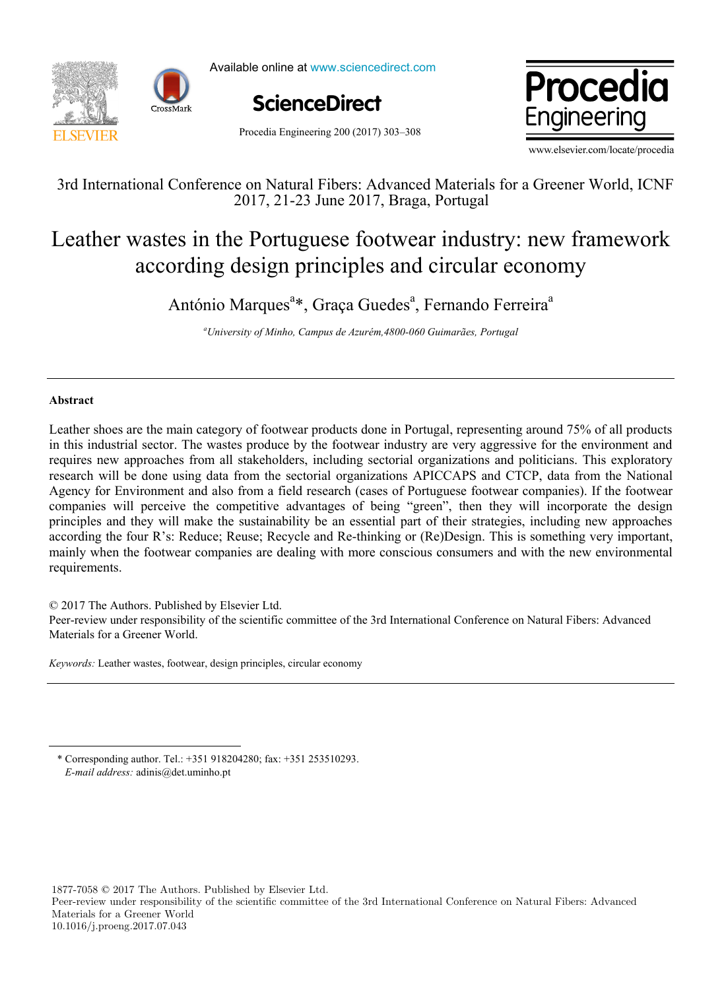

Available online at www.sciencedirect.com





Procedia Engineering 200 (2017) 303–308

www.elsevier.com/locate/procedia

3rd International Conference on Natural Fibers: Advanced Materials for a Greener World, ICNF 2017, 21-23 June 2017, Braga, Portugal

## Leather wastes in the Portuguese footwear industry: new framework according design principles and circular economy

António Marques<sup>a\*</sup>, Graça Guedes<sup>a</sup>, Fernando Ferreira<sup>a</sup>

*a University of Minho, Campus de Azurém,4800-060 Guimarães, Portugal*

## **Abstract**

 $\overline{a}$ 

Leather shoes are the main category of footwear products done in Portugal, representing around 75% of all products in this industrial sector. The wastes produce by the footwear industry are very aggressive for the environment and requires new approaches from all stakeholders, including sectorial organizations and politicians. This exploratory research will be done using data from the sectorial organizations APICCAPS and CTCP, data from the National Agency for Environment and also from a field research (cases of Portuguese footwear companies). If the footwear companies will perceive the competitive advantages of being "green", then they will incorporate the design principles and they will make the sustainability be an essential part of their strategies, including new approaches according the four R's: Reduce; Reuse; Recycle and Re-thinking or (Re)Design. This is something very important, mainly when the footwear companies are dealing with more conscious consumers and with the new environmental requirements.

© 2017 The Authors. Published by Elsevier Ltd.

Peer-review under responsibility of the scientific committee of the 3rd International Conference on Natural Fibers: Advanced Materials for a Greener World.

*Keywords:* Leather wastes, footwear, design principles, circular economy

\* Corresponding author. Tel.: +351 918204280; fax: +351 253510293. *E-mail address:* adinis@det.uminho.pt

1877-7058 © 2017 The Authors. Published by Elsevier Ltd.

Peer-review under responsibility of the scientific committee of the 3rd International Conference on Natural Fibers: Advanced Materials for a Greener World 10.1016/j.proeng.2017.07.043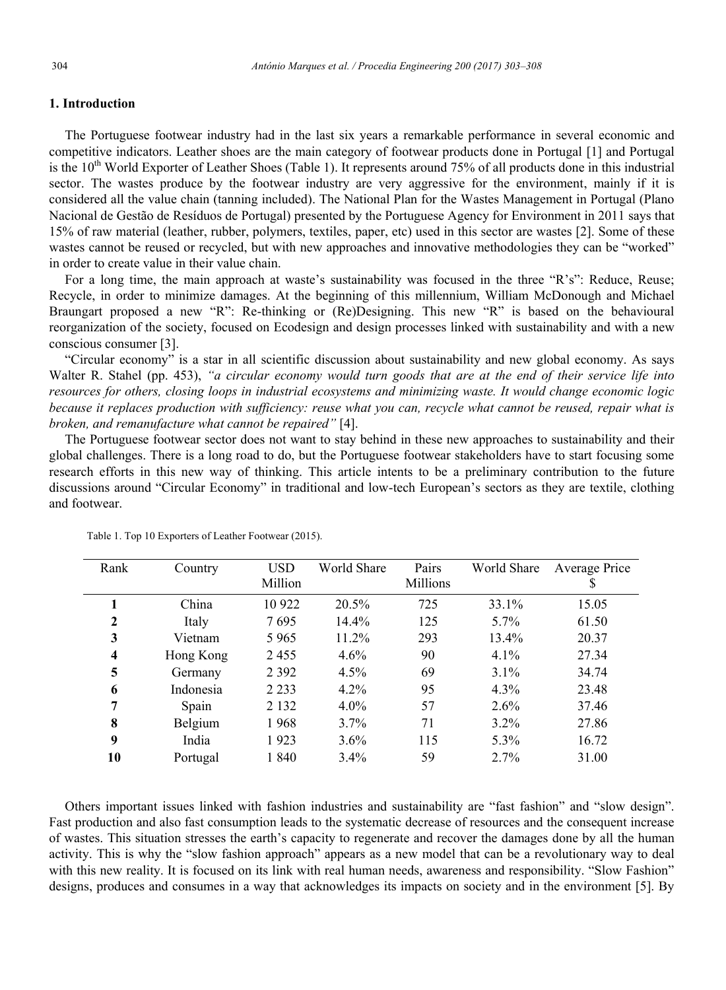## **1. Introduction**

The Portuguese footwear industry had in the last six years a remarkable performance in several economic and competitive indicators. Leather shoes are the main category of footwear products done in Portugal [1] and Portugal is the  $10^{th}$  World Exporter of Leather Shoes (Table 1). It represents around 75% of all products done in this industrial sector. The wastes produce by the footwear industry are very aggressive for the environment, mainly if it is considered all the value chain (tanning included). The National Plan for the Wastes Management in Portugal (Plano Nacional de Gestão de Resíduos de Portugal) presented by the Portuguese Agency for Environment in 2011 says that 15% of raw material (leather, rubber, polymers, textiles, paper, etc) used in this sector are wastes [2]. Some of these wastes cannot be reused or recycled, but with new approaches and innovative methodologies they can be "worked" in order to create value in their value chain.

For a long time, the main approach at waste's sustainability was focused in the three "R's": Reduce, Reuse; Recycle, in order to minimize damages. At the beginning of this millennium, William McDonough and Michael Braungart proposed a new "R": Re-thinking or (Re)Designing. This new "R" is based on the behavioural reorganization of the society, focused on Ecodesign and design processes linked with sustainability and with a new conscious consumer [3].

"Circular economy" is a star in all scientific discussion about sustainability and new global economy. As says Walter R. Stahel (pp. 453), "a circular economy would turn goods that are at the end of their service life into *resources for others, closing loops in industrial ecosystems and minimizing waste. It would change economic logic because it replaces production with sufficiency: reuse what you can, recycle what cannot be reused, repair what is broken, and remanufacture what cannot be repaired"* [4].

The Portuguese footwear sector does not want to stay behind in these new approaches to sustainability and their global challenges. There is a long road to do, but the Portuguese footwear stakeholders have to start focusing some research efforts in this new way of thinking. This article intents to be a preliminary contribution to the future discussions around "Circular Economy" in traditional and low-tech European's sectors as they are textile, clothing and footwear.

| Rank                    | Country   | USD     | World Share | Pairs    | World Share | Average Price |
|-------------------------|-----------|---------|-------------|----------|-------------|---------------|
|                         |           | Million |             | Millions |             | S             |
|                         | China     | 10 922  | $20.5\%$    | 725      | 33.1%       | 15.05         |
| $\mathbf{2}$            | Italy     | 7695    | 14.4%       | 125      | $5.7\%$     | 61.50         |
| 3                       | Vietnam   | 5965    | 11.2%       | 293      | 13.4%       | 20.37         |
| $\overline{\mathbf{4}}$ | Hong Kong | 2455    | $4.6\%$     | 90       | $4.1\%$     | 27.34         |
| 5                       | Germany   | 2 3 9 2 | $4.5\%$     | 69       | $3.1\%$     | 34.74         |
| 6                       | Indonesia | 2 2 3 3 | 4.2%        | 95       | 4.3%        | 23.48         |
| 7                       | Spain     | 2 1 3 2 | $4.0\%$     | 57       | $2.6\%$     | 37.46         |
| 8                       | Belgium   | 1968    | $3.7\%$     | 71       | $3.2\%$     | 27.86         |
| 9                       | India     | 1923    | $3.6\%$     | 115      | 5.3%        | 16.72         |
| 10                      | Portugal  | 1840    | $3.4\%$     | 59       | 2.7%        | 31.00         |
|                         |           |         |             |          |             |               |

Table 1. Top 10 Exporters of Leather Footwear (2015).

Others important issues linked with fashion industries and sustainability are "fast fashion" and "slow design". Fast production and also fast consumption leads to the systematic decrease of resources and the consequent increase of wastes. This situation stresses the earth's capacity to regenerate and recover the damages done by all the human activity. This is why the "slow fashion approach" appears as a new model that can be a revolutionary way to deal with this new reality. It is focused on its link with real human needs, awareness and responsibility. "Slow Fashion" designs, produces and consumes in a way that acknowledges its impacts on society and in the environment [5]. By